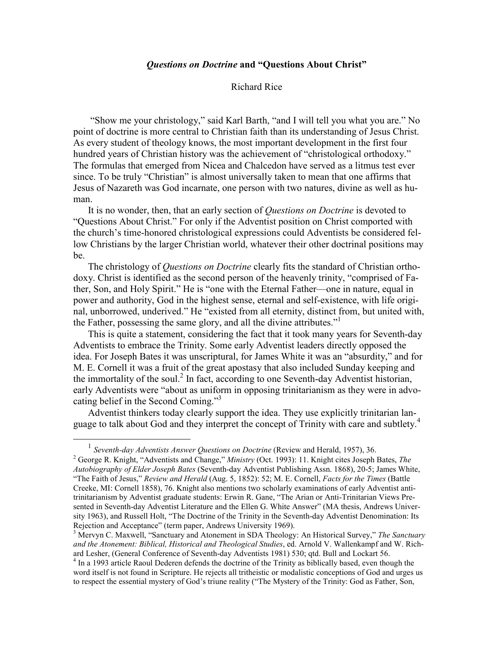## Questions on Doctrine and "Questions About Christ"

## Richard Rice

 "Show me your christology," said Karl Barth, "and I will tell you what you are." No point of doctrine is more central to Christian faith than its understanding of Jesus Christ. As every student of theology knows, the most important development in the first four hundred years of Christian history was the achievement of "christological orthodoxy." The formulas that emerged from Nicea and Chalcedon have served as a litmus test ever since. To be truly "Christian" is almost universally taken to mean that one affirms that Jesus of Nazareth was God incarnate, one person with two natures, divine as well as human.

It is no wonder, then, that an early section of Questions on Doctrine is devoted to "Questions About Christ." For only if the Adventist position on Christ comported with the church's time-honored christological expressions could Adventists be considered fellow Christians by the larger Christian world, whatever their other doctrinal positions may be.

The christology of *Questions on Doctrine* clearly fits the standard of Christian orthodoxy. Christ is identified as the second person of the heavenly trinity, "comprised of Father, Son, and Holy Spirit." He is "one with the Eternal Father—one in nature, equal in power and authority, God in the highest sense, eternal and self-existence, with life original, unborrowed, underived." He "existed from all eternity, distinct from, but united with, the Father, possessing the same glory, and all the divine attributes."<sup>1</sup>

This is quite a statement, considering the fact that it took many years for Seventh-day Adventists to embrace the Trinity. Some early Adventist leaders directly opposed the idea. For Joseph Bates it was unscriptural, for James White it was an "absurdity," and for M. E. Cornell it was a fruit of the great apostasy that also included Sunday keeping and the immortality of the soul.<sup>2</sup> In fact, according to one Seventh-day Adventist historian, early Adventists were "about as uniform in opposing trinitarianism as they were in advocating belief in the Second Coming."<sup>3</sup>

Adventist thinkers today clearly support the idea. They use explicitly trinitarian language to talk about God and they interpret the concept of Trinity with care and subtlety.<sup>4</sup>

<sup>&</sup>lt;sup>1</sup> Seventh-day Adventists Answer Questions on Doctrine (Review and Herald, 1957), 36.

<sup>&</sup>lt;sup>2</sup> George R. Knight, "Adventists and Change," *Ministry* (Oct. 1993): 11. Knight cites Joseph Bates, *The* Autobiography of Elder Joseph Bates (Seventh-day Adventist Publishing Assn. 1868), 20-5; James White, "The Faith of Jesus," Review and Herald (Aug. 5, 1852): 52; M. E. Cornell, Facts for the Times (Battle Creeke, MI: Cornell 1858), 76. Knight also mentions two scholarly examinations of early Adventist antitrinitarianism by Adventist graduate students: Erwin R. Gane, "The Arian or Anti-Trinitarian Views Presented in Seventh-day Adventist Literature and the Ellen G. White Answer" (MA thesis, Andrews University 1963), and Russell Holt, "The Doctrine of the Trinity in the Seventh-day Adventist Denomination: Its Rejection and Acceptance" (term paper, Andrews University 1969).

<sup>&</sup>lt;sup>3</sup> Mervyn C. Maxwell, "Sanctuary and Atonement in SDA Theology: An Historical Survey," The Sanctuary and the Atonement: Biblical, Historical and Theological Studies, ed. Arnold V. Wallenkampf and W. Richard Lesher, (General Conference of Seventh-day Adventists 1981) 530; qtd. Bull and Lockart 56.

<sup>&</sup>lt;sup>4</sup> In a 1993 article Raoul Dederen defends the doctrine of the Trinity as biblically based, even though the word itself is not found in Scripture. He rejects all tritheistic or modalistic conceptions of God and urges us to respect the essential mystery of God's triune reality ("The Mystery of the Trinity: God as Father, Son,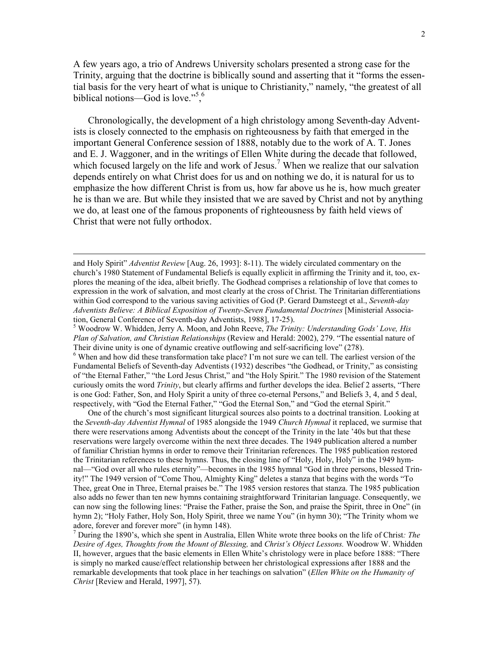A few years ago, a trio of Andrews University scholars presented a strong case for the Trinity, arguing that the doctrine is biblically sound and asserting that it "forms the essential basis for the very heart of what is unique to Christianity," namely, "the greatest of all biblical notions—God is love."<sup>5</sup>,<sup>6</sup>

Chronologically, the development of a high christology among Seventh-day Adventists is closely connected to the emphasis on righteousness by faith that emerged in the important General Conference session of 1888, notably due to the work of A. T. Jones and E. J. Waggoner, and in the writings of Ellen White during the decade that followed, which focused largely on the life and work of Jesus.<sup>7</sup> When we realize that our salvation depends entirely on what Christ does for us and on nothing we do, it is natural for us to emphasize the how different Christ is from us, how far above us he is, how much greater he is than we are. But while they insisted that we are saved by Christ and not by anything we do, at least one of the famous proponents of righteousness by faith held views of Christ that were not fully orthodox.

 $\overline{a}$ 

<sup>5</sup> Woodrow W. Whidden, Jerry A. Moon, and John Reeve, *The Trinity: Understanding Gods' Love, His* Plan of Salvation, and Christian Relationships (Review and Herald: 2002), 279. "The essential nature of Their divine unity is one of dynamic creative outflowing and self-sacrificing love" (278).

<sup>6</sup> When and how did these transformation take place? I'm not sure we can tell. The earliest version of the Fundamental Beliefs of Seventh-day Adventists (1932) describes "the Godhead, or Trinity," as consisting of "the Eternal Father," "the Lord Jesus Christ," and "the Holy Spirit." The 1980 revision of the Statement curiously omits the word *Trinity*, but clearly affirms and further develops the idea. Belief 2 asserts, "There is one God: Father, Son, and Holy Spirit a unity of three co-eternal Persons," and Beliefs 3, 4, and 5 deal, respectively, with "God the Eternal Father," "God the Eternal Son," and "God the eternal Spirit."

One of the church's most significant liturgical sources also points to a doctrinal transition. Looking at the Seventh-day Adventist Hymnal of 1985 alongside the 1949 Church Hymnal it replaced, we surmise that there were reservations among Adventists about the concept of the Trinity in the late '40s but that these reservations were largely overcome within the next three decades. The 1949 publication altered a number of familiar Christian hymns in order to remove their Trinitarian references. The 1985 publication restored the Trinitarian references to these hymns. Thus, the closing line of "Holy, Holy, Holy" in the 1949 hymnal—"God over all who rules eternity"—becomes in the 1985 hymnal "God in three persons, blessed Trinity!" The 1949 version of "Come Thou, Almighty King" deletes a stanza that begins with the words "To Thee, great One in Three, Eternal praises be." The 1985 version restores that stanza. The 1985 publication also adds no fewer than ten new hymns containing straightforward Trinitarian language. Consequently, we can now sing the following lines: "Praise the Father, praise the Son, and praise the Spirit, three in One" (in hymn 2); "Holy Father, Holy Son, Holy Spirit, three we name You" (in hymn 30); "The Trinity whom we adore, forever and forever more" (in hymn 148).

 $<sup>7</sup>$  During the 1890's, which she spent in Australia, Ellen White wrote three books on the life of Christ: The</sup> Desire of Ages, Thoughts from the Mount of Blessing, and Christ's Object Lessons. Woodrow W. Whidden II, however, argues that the basic elements in Ellen White's christology were in place before 1888: "There is simply no marked cause/effect relationship between her christological expressions after 1888 and the remarkable developments that took place in her teachings on salvation" (Ellen White on the Humanity of Christ [Review and Herald, 1997], 57).

and Holy Spirit" *Adventist Review* [Aug. 26, 1993]: 8-11). The widely circulated commentary on the church's 1980 Statement of Fundamental Beliefs is equally explicit in affirming the Trinity and it, too, explores the meaning of the idea, albeit briefly. The Godhead comprises a relationship of love that comes to expression in the work of salvation, and most clearly at the cross of Christ. The Trinitarian differentiations within God correspond to the various saving activities of God (P. Gerard Damsteegt et al., Seventh-day Adventists Believe: A Biblical Exposition of Twenty-Seven Fundamental Doctrines [Ministerial Association, General Conference of Seventh-day Adventists, 1988], 17-25).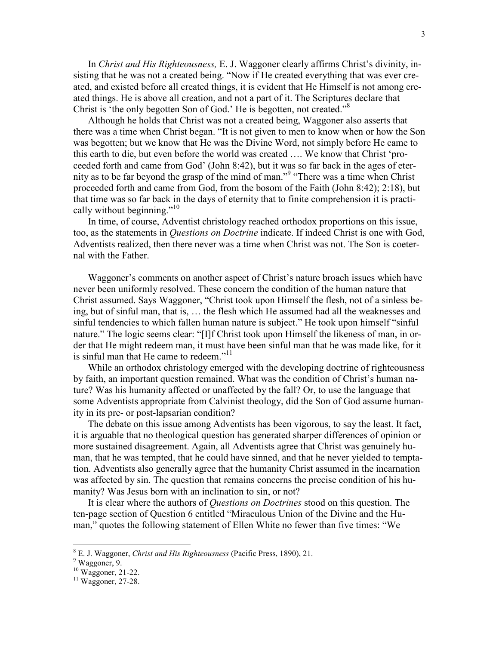In Christ and His Righteousness, E. J. Waggoner clearly affirms Christ's divinity, insisting that he was not a created being. "Now if He created everything that was ever created, and existed before all created things, it is evident that He Himself is not among created things. He is above all creation, and not a part of it. The Scriptures declare that Christ is 'the only begotten Son of God.' He is begotten, not created."<sup>8</sup>

Although he holds that Christ was not a created being, Waggoner also asserts that there was a time when Christ began. "It is not given to men to know when or how the Son was begotten; but we know that He was the Divine Word, not simply before He came to this earth to die, but even before the world was created …. We know that Christ 'proceeded forth and came from God' (John 8:42), but it was so far back in the ages of eternity as to be far beyond the grasp of the mind of man."<sup>9</sup> "There was a time when Christ proceeded forth and came from God, from the bosom of the Faith (John 8:42); 2:18), but that time was so far back in the days of eternity that to finite comprehension it is practically without beginning."<sup>10</sup>

In time, of course, Adventist christology reached orthodox proportions on this issue, too, as the statements in Questions on Doctrine indicate. If indeed Christ is one with God, Adventists realized, then there never was a time when Christ was not. The Son is coeternal with the Father.

Waggoner's comments on another aspect of Christ's nature broach issues which have never been uniformly resolved. These concern the condition of the human nature that Christ assumed. Says Waggoner, "Christ took upon Himself the flesh, not of a sinless being, but of sinful man, that is, … the flesh which He assumed had all the weaknesses and sinful tendencies to which fallen human nature is subject." He took upon himself "sinful nature." The logic seems clear: "[I]f Christ took upon Himself the likeness of man, in order that He might redeem man, it must have been sinful man that he was made like, for it is sinful man that He came to redeem."<sup>11</sup>

While an orthodox christology emerged with the developing doctrine of righteousness by faith, an important question remained. What was the condition of Christ's human nature? Was his humanity affected or unaffected by the fall? Or, to use the language that some Adventists appropriate from Calvinist theology, did the Son of God assume humanity in its pre- or post-lapsarian condition?

The debate on this issue among Adventists has been vigorous, to say the least. It fact, it is arguable that no theological question has generated sharper differences of opinion or more sustained disagreement. Again, all Adventists agree that Christ was genuinely human, that he was tempted, that he could have sinned, and that he never yielded to temptation. Adventists also generally agree that the humanity Christ assumed in the incarnation was affected by sin. The question that remains concerns the precise condition of his humanity? Was Jesus born with an inclination to sin, or not?

It is clear where the authors of Questions on Doctrines stood on this question. The ten-page section of Question 6 entitled "Miraculous Union of the Divine and the Human," quotes the following statement of Ellen White no fewer than five times: "We

 $8$  E. J. Waggoner, Christ and His Righteousness (Pacific Press, 1890), 21.

<sup>9</sup> Waggoner, 9.

<sup>10</sup> Waggoner, 21-22.

<sup>11</sup> Waggoner, 27-28.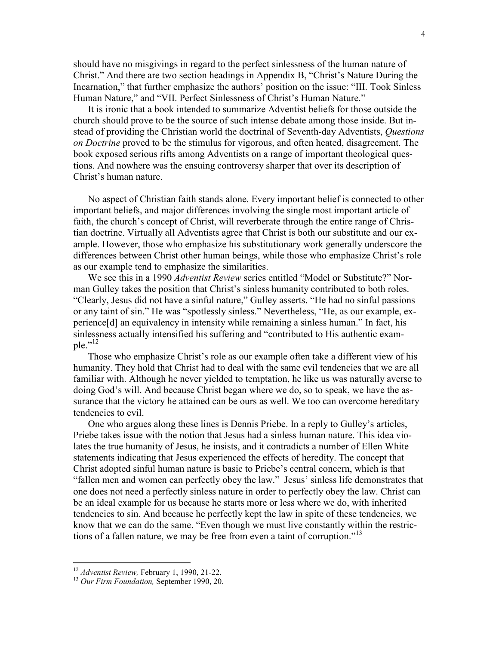should have no misgivings in regard to the perfect sinlessness of the human nature of Christ." And there are two section headings in Appendix B, "Christ's Nature During the Incarnation," that further emphasize the authors' position on the issue: "III. Took Sinless Human Nature," and "VII. Perfect Sinlessness of Christ's Human Nature."

It is ironic that a book intended to summarize Adventist beliefs for those outside the church should prove to be the source of such intense debate among those inside. But instead of providing the Christian world the doctrinal of Seventh-day Adventists, *Questions* on Doctrine proved to be the stimulus for vigorous, and often heated, disagreement. The book exposed serious rifts among Adventists on a range of important theological questions. And nowhere was the ensuing controversy sharper that over its description of Christ's human nature.

No aspect of Christian faith stands alone. Every important belief is connected to other important beliefs, and major differences involving the single most important article of faith, the church's concept of Christ, will reverberate through the entire range of Christian doctrine. Virtually all Adventists agree that Christ is both our substitute and our example. However, those who emphasize his substitutionary work generally underscore the differences between Christ other human beings, while those who emphasize Christ's role as our example tend to emphasize the similarities.

We see this in a 1990 Adventist Review series entitled "Model or Substitute?" Norman Gulley takes the position that Christ's sinless humanity contributed to both roles. "Clearly, Jesus did not have a sinful nature," Gulley asserts. "He had no sinful passions or any taint of sin." He was "spotlessly sinless." Nevertheless, "He, as our example, experience[d] an equivalency in intensity while remaining a sinless human." In fact, his sinlessness actually intensified his suffering and "contributed to His authentic example." $^{12}$ 

Those who emphasize Christ's role as our example often take a different view of his humanity. They hold that Christ had to deal with the same evil tendencies that we are all familiar with. Although he never yielded to temptation, he like us was naturally averse to doing God's will. And because Christ began where we do, so to speak, we have the assurance that the victory he attained can be ours as well. We too can overcome hereditary tendencies to evil.

One who argues along these lines is Dennis Priebe. In a reply to Gulley's articles, Priebe takes issue with the notion that Jesus had a sinless human nature. This idea violates the true humanity of Jesus, he insists, and it contradicts a number of Ellen White statements indicating that Jesus experienced the effects of heredity. The concept that Christ adopted sinful human nature is basic to Priebe's central concern, which is that "fallen men and women can perfectly obey the law." Jesus' sinless life demonstrates that one does not need a perfectly sinless nature in order to perfectly obey the law. Christ can be an ideal example for us because he starts more or less where we do, with inherited tendencies to sin. And because he perfectly kept the law in spite of these tendencies, we know that we can do the same. "Even though we must live constantly within the restrictions of a fallen nature, we may be free from even a taint of corruption."<sup>13</sup>

 $12$  Adventist Review, February 1, 1990, 21-22.

 $13$  Our Firm Foundation, September 1990, 20.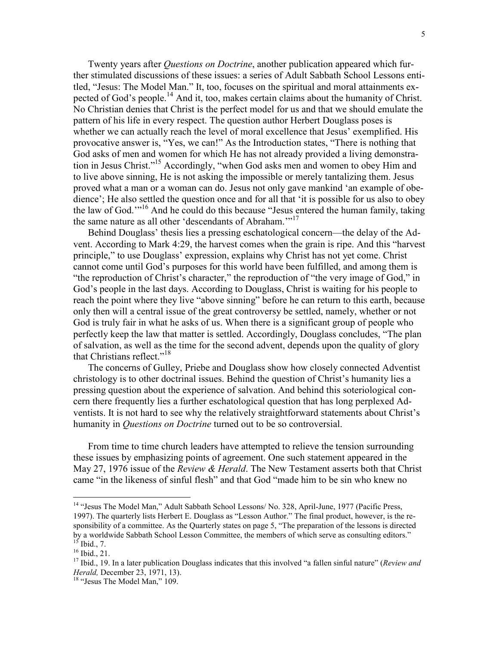Twenty years after *Questions on Doctrine*, another publication appeared which further stimulated discussions of these issues: a series of Adult Sabbath School Lessons entitled, "Jesus: The Model Man." It, too, focuses on the spiritual and moral attainments expected of God's people.<sup>14</sup> And it, too, makes certain claims about the humanity of Christ. No Christian denies that Christ is the perfect model for us and that we should emulate the pattern of his life in every respect. The question author Herbert Douglass poses is whether we can actually reach the level of moral excellence that Jesus' exemplified. His provocative answer is, "Yes, we can!" As the Introduction states, "There is nothing that God asks of men and women for which He has not already provided a living demonstration in Jesus Christ."<sup>15</sup> Accordingly, "when God asks men and women to obey Him and to live above sinning, He is not asking the impossible or merely tantalizing them. Jesus proved what a man or a woman can do. Jesus not only gave mankind 'an example of obedience'; He also settled the question once and for all that 'it is possible for us also to obey the law of God."<sup>16</sup> And he could do this because "Jesus entered the human family, taking the same nature as all other 'descendants of Abraham.'"<sup>17</sup>

Behind Douglass' thesis lies a pressing eschatological concern—the delay of the Advent. According to Mark 4:29, the harvest comes when the grain is ripe. And this "harvest principle," to use Douglass' expression, explains why Christ has not yet come. Christ cannot come until God's purposes for this world have been fulfilled, and among them is "the reproduction of Christ's character," the reproduction of "the very image of God," in God's people in the last days. According to Douglass, Christ is waiting for his people to reach the point where they live "above sinning" before he can return to this earth, because only then will a central issue of the great controversy be settled, namely, whether or not God is truly fair in what he asks of us. When there is a significant group of people who perfectly keep the law that matter is settled. Accordingly, Douglass concludes, "The plan of salvation, as well as the time for the second advent, depends upon the quality of glory that Christians reflect."<sup>18</sup>

The concerns of Gulley, Priebe and Douglass show how closely connected Adventist christology is to other doctrinal issues. Behind the question of Christ's humanity lies a pressing question about the experience of salvation. And behind this soteriological concern there frequently lies a further eschatological question that has long perplexed Adventists. It is not hard to see why the relatively straightforward statements about Christ's humanity in Questions on Doctrine turned out to be so controversial.

From time to time church leaders have attempted to relieve the tension surrounding these issues by emphasizing points of agreement. One such statement appeared in the May 27, 1976 issue of the Review & Herald. The New Testament asserts both that Christ came "in the likeness of sinful flesh" and that God "made him to be sin who knew no

<u>.</u>

<sup>&</sup>lt;sup>14</sup> "Jesus The Model Man," Adult Sabbath School Lessons/ No. 328, April-June, 1977 (Pacific Press, 1997). The quarterly lists Herbert E. Douglass as "Lesson Author." The final product, however, is the responsibility of a committee. As the Quarterly states on page 5, "The preparation of the lessons is directed by a worldwide Sabbath School Lesson Committee, the members of which serve as consulting editors."  $^{15}$  Ibid., 7.

 $16$  Ibid., 21.

 $17$  Ibid., 19. In a later publication Douglass indicates that this involved "a fallen sinful nature" (Review and Herald, December 23, 1971, 13).

<sup>&</sup>lt;sup>18</sup> "Jesus The Model Man," 109.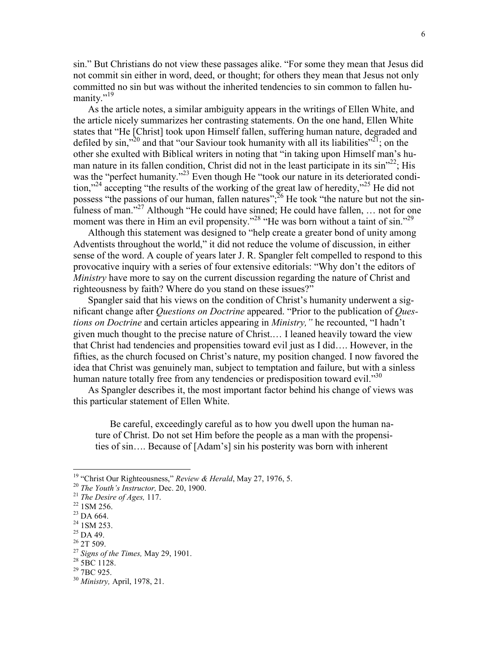sin." But Christians do not view these passages alike. "For some they mean that Jesus did not commit sin either in word, deed, or thought; for others they mean that Jesus not only committed no sin but was without the inherited tendencies to sin common to fallen humanity."<sup>19</sup>

As the article notes, a similar ambiguity appears in the writings of Ellen White, and the article nicely summarizes her contrasting statements. On the one hand, Ellen White states that "He [Christ] took upon Himself fallen, suffering human nature, degraded and defiled by  $\sin^{320}$  and that "our Saviour took humanity with all its liabilities"<sup>21</sup>; on the other she exulted with Biblical writers in noting that "in taking upon Himself man's human nature in its fallen condition, Christ did not in the least participate in its  $\sin^{322}$ ; His was the "perfect humanity."<sup>23</sup> Even though He "took our nature in its deteriorated condition,"<sup>24</sup> accepting "the results of the working of the great law of heredity,"<sup>25</sup> He did not possess "the passions of our human, fallen natures";<sup>26</sup> He took "the nature but not the sinfulness of man."<sup>27</sup> Although "He could have sinned; He could have fallen, ... not for one moment was there in Him an evil propensity."<sup>28</sup> "He was born without a taint of sin."<sup>29</sup>

Although this statement was designed to "help create a greater bond of unity among Adventists throughout the world," it did not reduce the volume of discussion, in either sense of the word. A couple of years later J. R. Spangler felt compelled to respond to this provocative inquiry with a series of four extensive editorials: "Why don't the editors of Ministry have more to say on the current discussion regarding the nature of Christ and righteousness by faith? Where do you stand on these issues?"

Spangler said that his views on the condition of Christ's humanity underwent a significant change after *Questions on Doctrine* appeared. "Prior to the publication of *Ques*tions on Doctrine and certain articles appearing in Ministry," he recounted, "I hadn't given much thought to the precise nature of Christ.… I leaned heavily toward the view that Christ had tendencies and propensities toward evil just as I did…. However, in the fifties, as the church focused on Christ's nature, my position changed. I now favored the idea that Christ was genuinely man, subject to temptation and failure, but with a sinless human nature totally free from any tendencies or predisposition toward evil."<sup>30</sup>

As Spangler describes it, the most important factor behind his change of views was this particular statement of Ellen White.

Be careful, exceedingly careful as to how you dwell upon the human nature of Christ. Do not set Him before the people as a man with the propensities of sin…. Because of [Adam's] sin his posterity was born with inherent

<sup>&</sup>lt;sup>19</sup> "Christ Our Righteousness," Review & Herald, May 27, 1976, 5.

 $20$  The Youth's Instructor, Dec. 20, 1900.

 $21$  The Desire of Ages, 117.

<sup>22</sup> 1SM 256.

<sup>&</sup>lt;sup>23</sup> DA 664.

<sup>&</sup>lt;sup>24</sup> 1SM 253.

<sup>&</sup>lt;sup>25</sup> DA 49.  $26$  2T 509.

 $27$  Signs of the Times, May 29, 1901.

 $28\overline{5B}C1128.$ 

<sup>&</sup>lt;sup>29</sup> 7BC 925.

 $30$  *Ministry*, April, 1978, 21.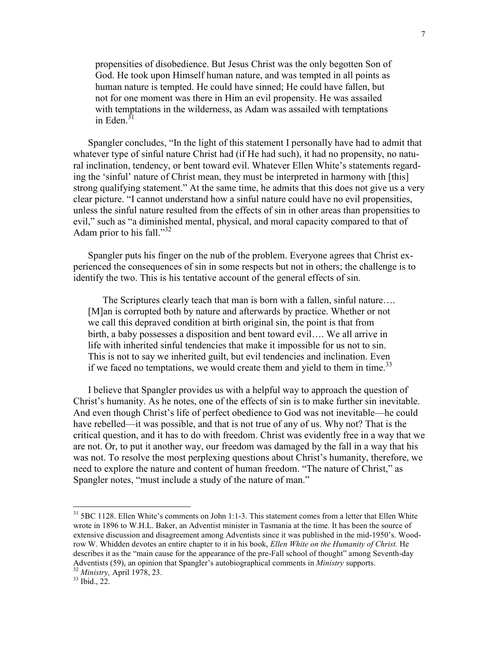propensities of disobedience. But Jesus Christ was the only begotten Son of God. He took upon Himself human nature, and was tempted in all points as human nature is tempted. He could have sinned; He could have fallen, but not for one moment was there in Him an evil propensity. He was assailed with temptations in the wilderness, as Adam was assailed with temptations in Eden $31$ 

Spangler concludes, "In the light of this statement I personally have had to admit that whatever type of sinful nature Christ had (if He had such), it had no propensity, no natural inclination, tendency, or bent toward evil. Whatever Ellen White's statements regarding the 'sinful' nature of Christ mean, they must be interpreted in harmony with [this] strong qualifying statement." At the same time, he admits that this does not give us a very clear picture. "I cannot understand how a sinful nature could have no evil propensities, unless the sinful nature resulted from the effects of sin in other areas than propensities to evil," such as "a diminished mental, physical, and moral capacity compared to that of Adam prior to his fall." $32$ 

Spangler puts his finger on the nub of the problem. Everyone agrees that Christ experienced the consequences of sin in some respects but not in others; the challenge is to identify the two. This is his tentative account of the general effects of sin.

The Scriptures clearly teach that man is born with a fallen, sinful nature.... [M]an is corrupted both by nature and afterwards by practice. Whether or not we call this depraved condition at birth original sin, the point is that from birth, a baby possesses a disposition and bent toward evil…. We all arrive in life with inherited sinful tendencies that make it impossible for us not to sin. This is not to say we inherited guilt, but evil tendencies and inclination. Even if we faced no temptations, we would create them and yield to them in time.<sup>33</sup>

I believe that Spangler provides us with a helpful way to approach the question of Christ's humanity. As he notes, one of the effects of sin is to make further sin inevitable. And even though Christ's life of perfect obedience to God was not inevitable—he could have rebelled—it was possible, and that is not true of any of us. Why not? That is the critical question, and it has to do with freedom. Christ was evidently free in a way that we are not. Or, to put it another way, our freedom was damaged by the fall in a way that his was not. To resolve the most perplexing questions about Christ's humanity, therefore, we need to explore the nature and content of human freedom. "The nature of Christ," as Spangler notes, "must include a study of the nature of man."

<sup>&</sup>lt;sup>31</sup> 5BC 1128. Ellen White's comments on John 1:1-3. This statement comes from a letter that Ellen White wrote in 1896 to W.H.L. Baker, an Adventist minister in Tasmania at the time. It has been the source of extensive discussion and disagreement among Adventists since it was published in the mid-1950's. Woodrow W. Whidden devotes an entire chapter to it in his book, *Ellen White on the Humanity of Christ*. He describes it as the "main cause for the appearance of the pre-Fall school of thought" among Seventh-day Adventists (59), an opinion that Spangler's autobiographical comments in Ministry supports.

<sup>32</sup> Ministry, April 1978, 23.

 $33$  Ibid., 22.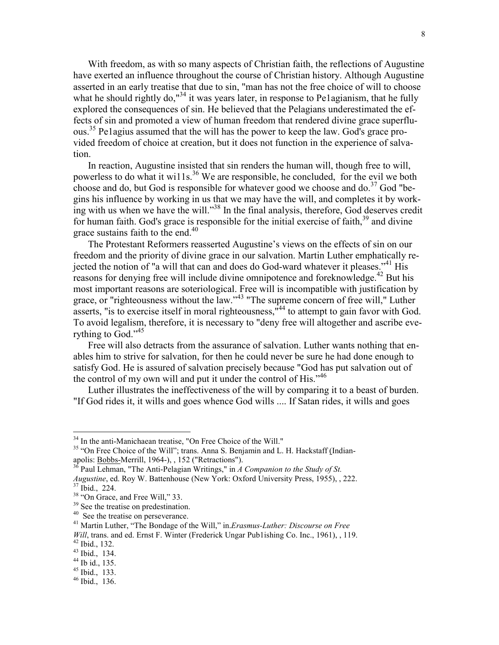With freedom, as with so many aspects of Christian faith, the reflections of Augustine have exerted an influence throughout the course of Christian history. Although Augustine asserted in an early treatise that due to sin, "man has not the free choice of will to choose what he should rightly do,<sup>"34</sup> it was years later, in response to Pe1agianism, that he fully explored the consequences of sin. He believed that the Pelagians underestimated the effects of sin and promoted a view of human freedom that rendered divine grace superfluous.<sup>35</sup> Pe1agius assumed that the will has the power to keep the law. God's grace provided freedom of choice at creation, but it does not function in the experience of salvation.

In reaction, Augustine insisted that sin renders the human will, though free to will, powerless to do what it wills.<sup>36</sup> We are responsible, he concluded, for the evil we both choose and do, but God is responsible for whatever good we choose and do.<sup>37</sup> God "begins his influence by working in us that we may have the will, and completes it by working with us when we have the will."<sup>38</sup> In the final analysis, therefore, God deserves credit for human faith. God's grace is responsible for the initial exercise of faith,  $39$  and divine grace sustains faith to the end.<sup>40</sup>

The Protestant Reformers reasserted Augustine's views on the effects of sin on our freedom and the priority of divine grace in our salvation. Martin Luther emphatically rejected the notion of "a will that can and does do God-ward whatever it pleases."<sup>41</sup> His reasons for denying free will include divine omnipotence and foreknowledge.<sup>42</sup> But his most important reasons are soteriological. Free will is incompatible with justification by grace, or "righteousness without the law."<sup>43</sup> "The supreme concern of free will," Luther asserts, "is to exercise itself in moral righteousness,  $n<sup>44</sup>$  to attempt to gain favor with God. To avoid legalism, therefore, it is necessary to "deny free will altogether and ascribe everything to God."<sup>45</sup>

Free will also detracts from the assurance of salvation. Luther wants nothing that enables him to strive for salvation, for then he could never be sure he had done enough to satisfy God. He is assured of salvation precisely because "God has put salvation out of the control of my own will and put it under the control of His."<sup>46</sup>

Luther illustrates the ineffectiveness of the will by comparing it to a beast of burden. "If God rides it, it wills and goes whence God wills .... If Satan rides, it wills and goes

<sup>&</sup>lt;sup>34</sup> In the anti-Manichaean treatise, "On Free Choice of the Will."

<sup>&</sup>lt;sup>35</sup> "On Free Choice of the Will"; trans. Anna S. Benjamin and L. H. Hackstaff (Indianapolis: **Bobbs-Merrill**, 1964-), , 152 ("Retractions").

<sup>&</sup>lt;sup>36</sup> Paul Lehman, "The Anti-Pelagian Writings," in A Companion to the Study of St.

Augustine, ed. Roy W. Battenhouse (New York: Oxford University Press, 1955), , 222.  $37$  Ibid., 224.

<sup>&</sup>lt;sup>38</sup> "On Grace, and Free Will," 33. <sup>39</sup> See the treatise on predestination.

<sup>&</sup>lt;sup>40</sup> See the treatise on perseverance.

 $41$  Martin Luther, "The Bondage of the Will," in.*Erasmus-Luther: Discourse on Free* 

Will, trans. and ed. Ernst F. Winter (Frederick Ungar Pub1ishing Co. Inc., 1961), , 119.

<sup>42</sup> Ibid., 132.

<sup>43</sup> Ibid., 134.

<sup>44</sup> Ib id., 135.

<sup>45</sup> Ibid., 133.

 $46$  Ibid., 136.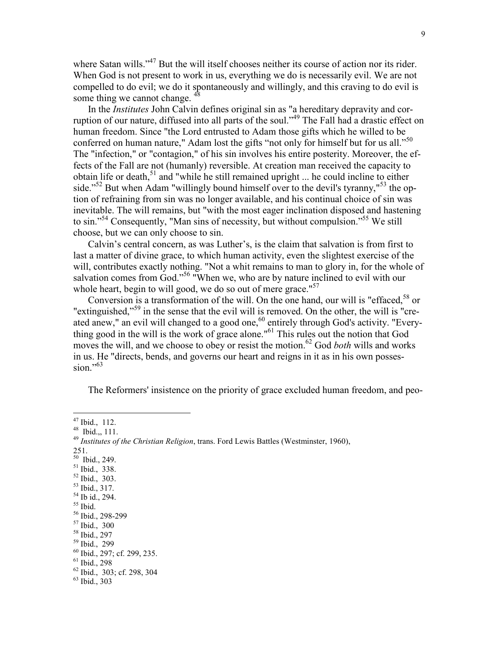where Satan wills."<sup>47</sup> But the will itself chooses neither its course of action nor its rider. When God is not present to work in us, everything we do is necessarily evil. We are not compelled to do evil; we do it spontaneously and willingly, and this craving to do evil is some thing we cannot change.  $\frac{4}{3}$ 

In the Institutes John Calvin defines original sin as "a hereditary depravity and corruption of our nature, diffused into all parts of the soul."<sup>49</sup> The Fall had a drastic effect on human freedom. Since "the Lord entrusted to Adam those gifts which he willed to be conferred on human nature," Adam lost the gifts "not only for himself but for us all."<sup>50</sup> The "infection," or "contagion," of his sin involves his entire posterity. Moreover, the effects of the Fall are not (humanly) reversible. At creation man received the capacity to obtain life or death, $51$  and "while he still remained upright ... he could incline to either side."<sup>52</sup> But when Adam "willingly bound himself over to the devil's tyranny,"<sup>53</sup> the option of refraining from sin was no longer available, and his continual choice of sin was inevitable. The will remains, but "with the most eager inclination disposed and hastening to sin."<sup>54</sup> Consequently, "Man sins of necessity, but without compulsion."<sup>55</sup> We still choose, but we can only choose to sin.

Calvin's central concern, as was Luther's, is the claim that salvation is from first to last a matter of divine grace, to which human activity, even the slightest exercise of the will, contributes exactly nothing. "Not a whit remains to man to glory in, for the whole of salvation comes from God."<sup>56</sup> "When we, who are by nature inclined to evil with our whole heart, begin to will good, we do so out of mere grace."<sup>57</sup>

Conversion is a transformation of the will. On the one hand, our will is "effaced.<sup>58</sup> or "extinguished,"<sup>59</sup> in the sense that the evil will is removed. On the other, the will is "created anew," an evil will changed to a good one,<sup>60</sup> entirely through God's activity. "Everything good in the will is the work of grace alone."<sup>61</sup> This rules out the notion that God moves the will, and we choose to obey or resist the motion.<sup>62</sup> God *both* wills and works in us. He "directs, bends, and governs our heart and reigns in it as in his own possession $^{563}$ 

The Reformers' insistence on the priority of grace excluded human freedom, and peo-

 $\overline{a}$ 

- $50$  Ibid., 249.
- <sup>51</sup> Ibid., 338.
- $\frac{52}{1}$  Ibid., 303.
- <sup>53</sup> Ibid., 317.
- $54$  Ib id., 294. <sup>55</sup> Ibid.

<sup>58</sup> Ibid., 297

 $47$  Ibid., 112.

<sup>48</sup> Ibid.,, 111.

 $49$  Institutes of the Christian Religion, trans. Ford Lewis Battles (Westminster, 1960),

<sup>251.</sup> 

<sup>56</sup> Ibid., 298-299

<sup>57</sup> Ibid., 300

<sup>59</sup> Ibid., 299

<sup>60</sup> Ibid., 297; cf. 299, 235.

 $61$  Ibid., 298

 $62$  Ibid., 303; cf. 298, 304

<sup>63</sup> Ibid., 303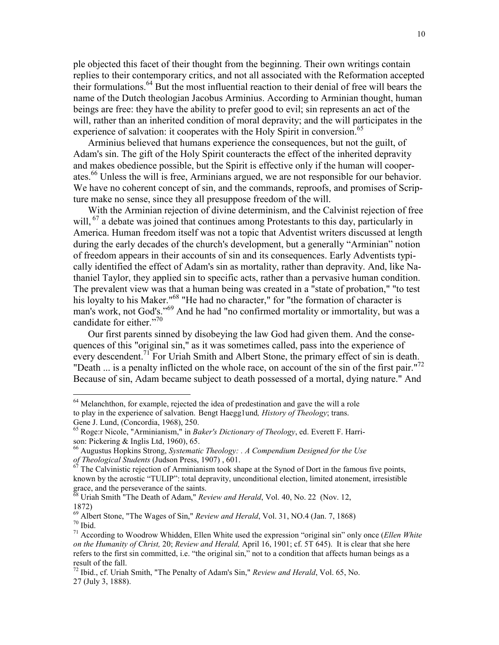ple objected this facet of their thought from the beginning. Their own writings contain replies to their contemporary critics, and not all associated with the Reformation accepted their formulations.<sup>64</sup> But the most influential reaction to their denial of free will bears the name of the Dutch theologian Jacobus Arminius. According to Arminian thought, human beings are free: they have the ability to prefer good to evil; sin represents an act of the will, rather than an inherited condition of moral depravity; and the will participates in the experience of salvation: it cooperates with the Holy Spirit in conversion.<sup>65</sup>

Arminius believed that humans experience the consequences, but not the guilt, of Adam's sin. The gift of the Holy Spirit counteracts the effect of the inherited depravity and makes obedience possible, but the Spirit is effective only if the human will cooperates.<sup>66</sup> Unless the will is free, Arminians argued, we are not responsible for our behavior. We have no coherent concept of sin, and the commands, reproofs, and promises of Scripture make no sense, since they all presuppose freedom of the will.

With the Arminian rejection of divine determinism, and the Calvinist rejection of free will,  $^{67}$  a debate was joined that continues among Protestants to this day, particularly in America. Human freedom itself was not a topic that Adventist writers discussed at length during the early decades of the church's development, but a generally "Arminian" notion of freedom appears in their accounts of sin and its consequences. Early Adventists typically identified the effect of Adam's sin as mortality, rather than depravity. And, like Nathaniel Taylor, they applied sin to specific acts, rather than a pervasive human condition. The prevalent view was that a human being was created in a "state of probation," "to test his loyalty to his Maker."<sup>68</sup> "He had no character," for "the formation of character is man's work, not God's."<sup>69</sup> And he had "no confirmed mortality or immortality, but was a candidate for either."<sup>70</sup>

Our first parents sinned by disobeying the law God had given them. And the consequences of this "original sin," as it was sometimes called, pass into the experience of every descendent.<sup>71</sup> For Uriah Smith and Albert Stone, the primary effect of sin is death. "Death ... is a penalty inflicted on the whole race, on account of the sin of the first pair."<sup>72</sup> Because of sin, Adam became subject to death possessed of a mortal, dying nature." And

<sup>&</sup>lt;sup>64</sup> Melanchthon, for example, rejected the idea of predestination and gave the will a role to play in the experience of salvation. Bengt Haegg1und, *History of Theology*; trans. Gene J. Lund, (Concordia, 1968), 250.

 $65$  Roge:r Nicole, "Arminianism," in Baker's Dictionary of Theology, ed. Everett F. Harrison: Pickering & Inglis Ltd, 1960), 65.

 $66$  Augustus Hopkins Strong, Systematic Theology: . A Compendium Designed for the Use of Theological Students (Judson Press, 1907) , 601.

 $67$  The Calvinistic rejection of Arminianism took shape at the Synod of Dort in the famous five points, known by the acrostic "TULIP": total depravity, unconditional election, limited atonement, irresistible grace, and the perseverance of the saints.

 $\frac{68}{100}$  Uriah Smith "The Death of Adam," *Review and Herald*, Vol. 40, No. 22 (Nov. 12, 1872)

 $^{69}$  Albert Stone, "The Wages of Sin," Review and Herald, Vol. 31, NO.4 (Jan. 7, 1868)  $70$  Ibid.

 $71$  According to Woodrow Whidden, Ellen White used the expression "original sin" only once (*Ellen White* on the Humanity of Christ, 20; Review and Herald, April 16, 1901; cf. 5T 645). It is clear that she here refers to the first sin committed, i.e. "the original sin," not to a condition that affects human beings as a result of the fall.

<sup>&</sup>lt;sup>72</sup> Ibid., cf. Uriah Smith, "The Penalty of Adam's Sin," Review and Herald, Vol. 65, No. 27 (July 3, 1888).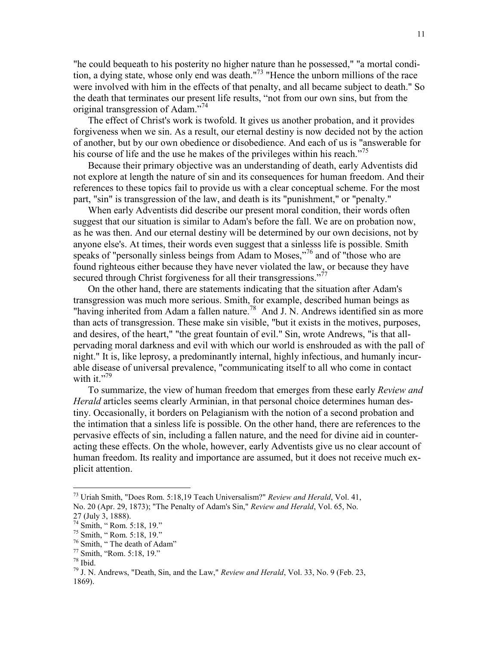"he could bequeath to his posterity no higher nature than he possessed," "a mortal condition, a dying state, whose only end was death."<sup>73</sup> "Hence the unborn millions of the race were involved with him in the effects of that penalty, and all became subject to death." So the death that terminates our present life results, "not from our own sins, but from the original transgression of Adam."<sup>74</sup>

The effect of Christ's work is twofold. It gives us another probation, and it provides forgiveness when we sin. As a result, our eternal destiny is now decided not by the action of another, but by our own obedience or disobedience. And each of us is "answerable for his course of life and the use he makes of the privileges within his reach."<sup>75</sup>

Because their primary objective was an understanding of death, early Adventists did not explore at length the nature of sin and its consequences for human freedom. And their references to these topics fail to provide us with a clear conceptual scheme. For the most part, "sin" is transgression of the law, and death is its "punishment," or "penalty."

When early Adventists did describe our present moral condition, their words often suggest that our situation is similar to Adam's before the fall. We are on probation now, as he was then. And our eternal destiny will be determined by our own decisions, not by anyone else's. At times, their words even suggest that a sinlesss life is possible. Smith speaks of "personally sinless beings from Adam to Moses,"<sup>76</sup> and of "those who are found righteous either because they have never violated the law, or because they have secured through Christ forgiveness for all their transgressions."<sup>77</sup>

On the other hand, there are statements indicating that the situation after Adam's transgression was much more serious. Smith, for example, described human beings as "having inherited from Adam a fallen nature.<sup>78</sup> And J. N. Andrews identified sin as more than acts of transgression. These make sin visible, "but it exists in the motives, purposes, and desires, of the heart," "the great fountain of evil." Sin, wrote Andrews, "is that allpervading moral darkness and evil with which our world is enshrouded as with the pall of night." It is, like leprosy, a predominantly internal, highly infectious, and humanly incurable disease of universal prevalence, "communicating itself to all who come in contact with it." $79$ 

To summarize, the view of human freedom that emerges from these early Review and Herald articles seems clearly Arminian, in that personal choice determines human destiny. Occasionally, it borders on Pelagianism with the notion of a second probation and the intimation that a sinless life is possible. On the other hand, there are references to the pervasive effects of sin, including a fallen nature, and the need for divine aid in counteracting these effects. On the whole, however, early Adventists give us no clear account of human freedom. Its reality and importance are assumed, but it does not receive much explicit attention.

l

 $^{73}$  Uriah Smith, "Does Rom. 5:18,19 Teach Universalism?" Review and Herald, Vol. 41, No. 20 (Apr. 29, 1873); "The Penalty of Adam's Sin," Review and Herald, Vol. 65, No.

<sup>27 (</sup>July 3, 1888).

 $^{74}$  Smith, " Rom. 5:18, 19."

<sup>75</sup> Smith, " Rom. 5:18, 19."

<sup>76</sup> Smith, " The death of Adam"

<sup>77</sup> Smith, "Rom. 5:18, 19."

<sup>78</sup> Ibid.

 $79$  J. N. Andrews, "Death, Sin, and the Law," Review and Herald, Vol. 33, No. 9 (Feb. 23, 1869).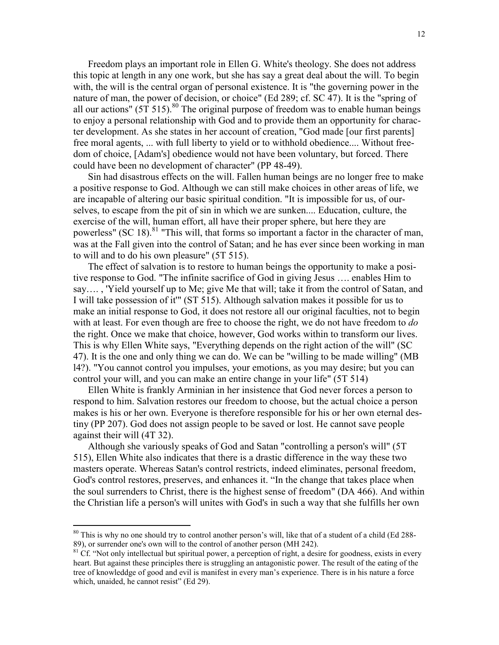Freedom plays an important role in Ellen G. White's theology. She does not address this topic at length in any one work, but she has say a great deal about the will. To begin with, the will is the central organ of personal existence. It is "the governing power in the nature of man, the power of decision, or choice" (Ed 289; cf. SC 47). It is the "spring of all our actions" (5T 515).<sup>80</sup> The original purpose of freedom was to enable human beings to enjoy a personal relationship with God and to provide them an opportunity for character development. As she states in her account of creation, "God made [our first parents] free moral agents, ... with full liberty to yield or to withhold obedience.... Without freedom of choice, [Adam's] obedience would not have been voluntary, but forced. There could have been no development of character" (PP 48-49).

Sin had disastrous effects on the will. Fallen human beings are no longer free to make a positive response to God. Although we can still make choices in other areas of life, we are incapable of altering our basic spiritual condition. "It is impossible for us, of ourselves, to escape from the pit of sin in which we are sunken.... Education, culture, the exercise of the will, human effort, all have their proper sphere, but here they are powerless" (SC 18). <sup>81</sup> "This will, that forms so important a factor in the character of man, was at the Fall given into the control of Satan; and he has ever since been working in man to will and to do his own pleasure" (5T 515).

The effect of salvation is to restore to human beings the opportunity to make a positive response to God. "The infinite sacrifice of God in giving Jesus …. enables Him to say…. , 'Yield yourself up to Me; give Me that will; take it from the control of Satan, and I will take possession of it'" (ST 515). Although salvation makes it possible for us to make an initial response to God, it does not restore all our original faculties, not to begin with at least. For even though are free to choose the right, we do not have freedom to do the right. Once we make that choice, however, God works within to transform our lives. This is why Ellen White says, "Everything depends on the right action of the will" (SC 47). It is the one and only thing we can do. We can be "willing to be made willing" (MB l4?). "You cannot control you impulses, your emotions, as you may desire; but you can control your will, and you can make an entire change in your life" (5T 514)

Ellen White is frankly Arminian in her insistence that God never forces a person to respond to him. Salvation restores our freedom to choose, but the actual choice a person makes is his or her own. Everyone is therefore responsible for his or her own eternal destiny (PP 207). God does not assign people to be saved or lost. He cannot save people against their will (4T 32).

Although she variously speaks of God and Satan "controlling a person's will" (5T 515), Ellen White also indicates that there is a drastic difference in the way these two masters operate. Whereas Satan's control restricts, indeed eliminates, personal freedom, God's control restores, preserves, and enhances it. "In the change that takes place when the soul surrenders to Christ, there is the highest sense of freedom" (DA 466). And within the Christian life a person's will unites with God's in such a way that she fulfills her own

<sup>&</sup>lt;sup>80</sup> This is why no one should try to control another person's will, like that of a student of a child (Ed 288-89), or surrender one's own will to the control of another person (MH 242).

 $81$  Cf. "Not only intellectual but spiritual power, a perception of right, a desire for goodness, exists in every heart. But against these principles there is struggling an antagonistic power. The result of the eating of the tree of knowleddge of good and evil is manifest in every man's experience. There is in his nature a force which, unaided, he cannot resist" (Ed 29).